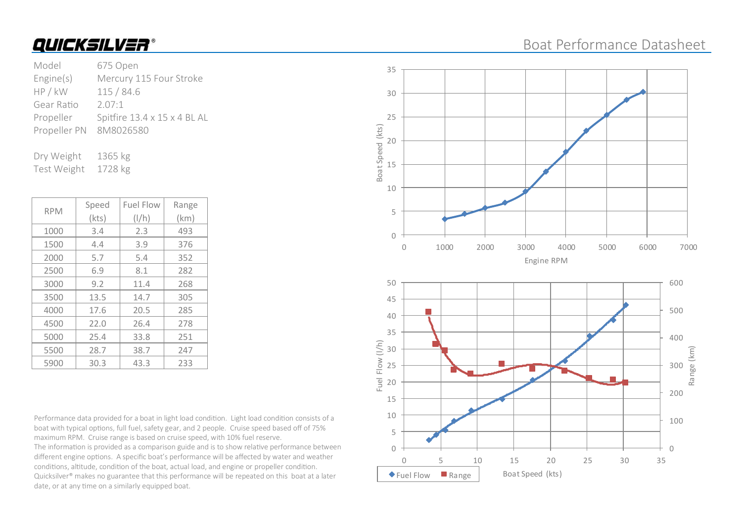## Boat Performance Datasheet

| Model        | 675 Open                     |
|--------------|------------------------------|
| Engine(s)    | Mercury 115 Four Stroke      |
| HP / kW      | 115/84.6                     |
| Gear Ratio   | 2.07:1                       |
| Propeller    | Spitfire 13.4 x 15 x 4 BL AL |
| Propeller PN | 8M8026580                    |
|              |                              |

Dry Weight 1365 kg Test Weight 1728 kg

| <b>RPM</b> | Speed | <b>Fuel Flow</b> | Range |
|------------|-------|------------------|-------|
|            | (kts) | $\frac{1}{h}$    | (km)  |
| 1000       | 3.4   | 2.3              | 493   |
| 1500       | 4.4   | 3.9              | 376   |
| 2000       | 5.7   | 5.4              | 352   |
| 2500       | 6.9   | 8.1              | 282   |
| 3000       | 9.2   | 11.4             | 268   |
| 3500       | 13.5  | 14.7             | 305   |
| 4000       | 17.6  | 20.5             | 285   |
| 4500       | 22.0  | 26.4             | 278   |
| 5000       | 25.4  | 33.8             | 251   |
| 5500       | 28.7  | 38.7             | 247   |
| 5900       | 30.3  | 43.3             | 233   |

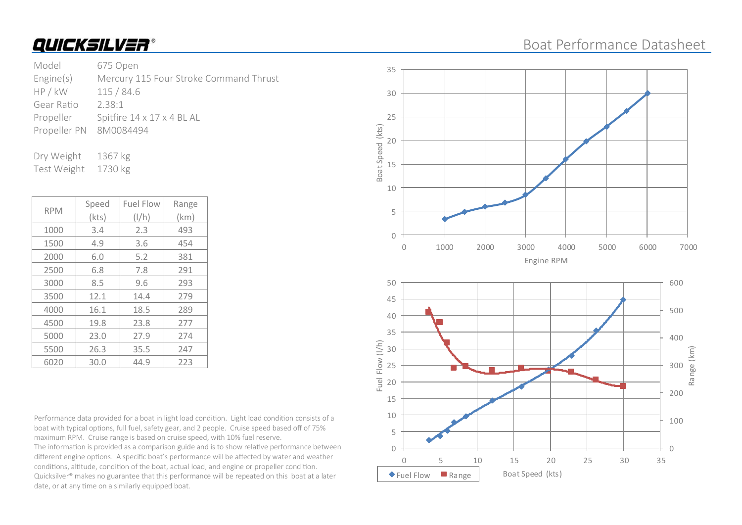### Boat Performance Datasheet

Model 675 Open Engine(s) Mercury 115 Four Stroke Command Thrust HP / kW 115 / 84.6 Gear Ratio 2.38:1 Propeller Spitfire 14 x 17 x 4 BL AL Propeller PN 8M0084494

Dry Weight 1367 kg Test Weight 1730 kg

| <b>RPM</b> | Speed | <b>Fuel Flow</b> | Range |
|------------|-------|------------------|-------|
|            | (kts) | $\frac{1}{h}$    | (km)  |
| 1000       | 3.4   | 2.3              | 493   |
| 1500       | 4.9   | 3.6              | 454   |
| 2000       | 6.0   | 5.2              | 381   |
| 2500       | 6.8   | 7.8              | 291   |
| 3000       | 8.5   | 9.6              | 293   |
| 3500       | 12.1  | 14.4             | 279   |
| 4000       | 16.1  | 18.5             | 289   |
| 4500       | 19.8  | 23.8             | 277   |
| 5000       | 23.0  | 27.9             | 274   |
| 5500       | 26.3  | 35.5             | 247   |
| 6020       | 30.0  | 44.9             | 223   |

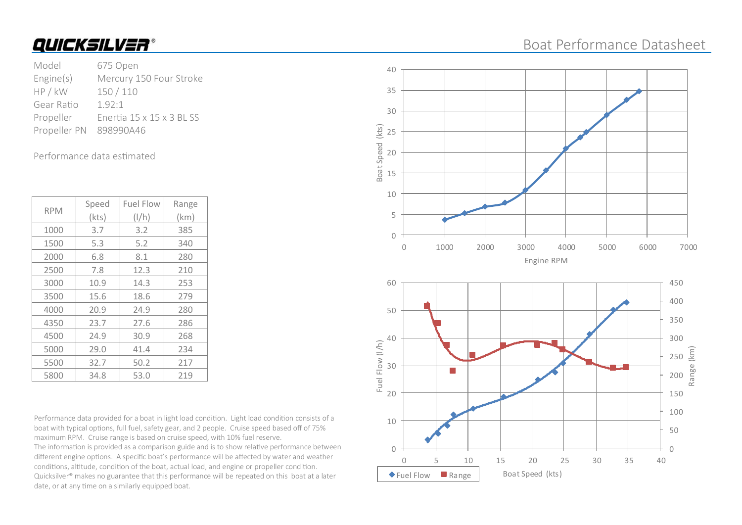## Boat Performance Datasheet

Model 675 Open Engine(s) Mercury 150 Four Stroke HP / kW 150 / 110 Gear Ratio 1.92:1 Propeller Enertia 15 x 15 x 3 BL SS Propeller PN 898990A46

#### Performance data estimated

| <b>RPM</b> | Speed | <b>Fuel Flow</b> | Range |
|------------|-------|------------------|-------|
|            | (kts) | $\frac{1}{h}$    | (km)  |
| 1000       | 3.7   | 3.2              | 385   |
| 1500       | 5.3   | 5.2              | 340   |
| 2000       | 6.8   | 8.1              | 280   |
| 2500       | 7.8   | 12.3             | 210   |
| 3000       | 10.9  | 14.3             | 253   |
| 3500       | 15.6  | 18.6             | 279   |
| 4000       | 20.9  | 24.9             | 280   |
| 4350       | 23.7  | 27.6             | 286   |
| 4500       | 24.9  | 30.9             | 268   |
| 5000       | 29.0  | 41.4             | 234   |
| 5500       | 32.7  | 50.2             | 217   |
| 5800       | 34.8  | 53.0             | 219   |

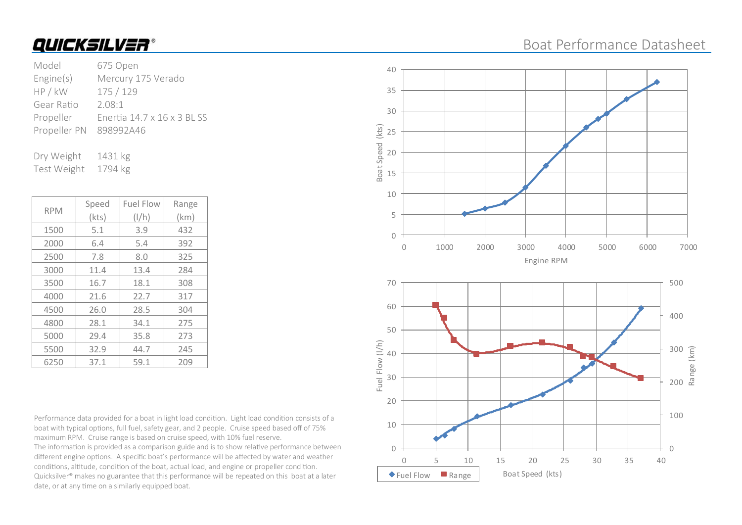## Boat Performance Datasheet

| Model                  | 675 Open                    |
|------------------------|-----------------------------|
| Engine(s)              | Mercury 175 Verado          |
| HP / kW                | 175 / 129                   |
| Gear Ratio             | 2.08:1                      |
| Propeller              | Enertia 14.7 x 16 x 3 BL SS |
| Propeller PN 898992A46 |                             |
|                        |                             |

Dry Weight 1431 kg Test Weight 1794 kg

| <b>RPM</b> | Speed | <b>Fuel Flow</b> | Range |
|------------|-------|------------------|-------|
|            | (kts) | $\frac{1}{h}$    | (km)  |
| 1500       | 5.1   | 3.9              | 432   |
| 2000       | 6.4   | 5.4              | 392   |
| 2500       | 7.8   | 8.0              | 325   |
| 3000       | 11.4  | 13.4             | 284   |
| 3500       | 16.7  | 18.1             | 308   |
| 4000       | 21.6  | 22.7             | 317   |
| 4500       | 26.0  | 28.5             | 304   |
| 4800       | 28.1  | 34.1             | 275   |
| 5000       | 29.4  | 35.8             | 273   |
| 5500       | 32.9  | 44.7             | 245   |
| 6250       | 37.1  | 59.1             | 209   |